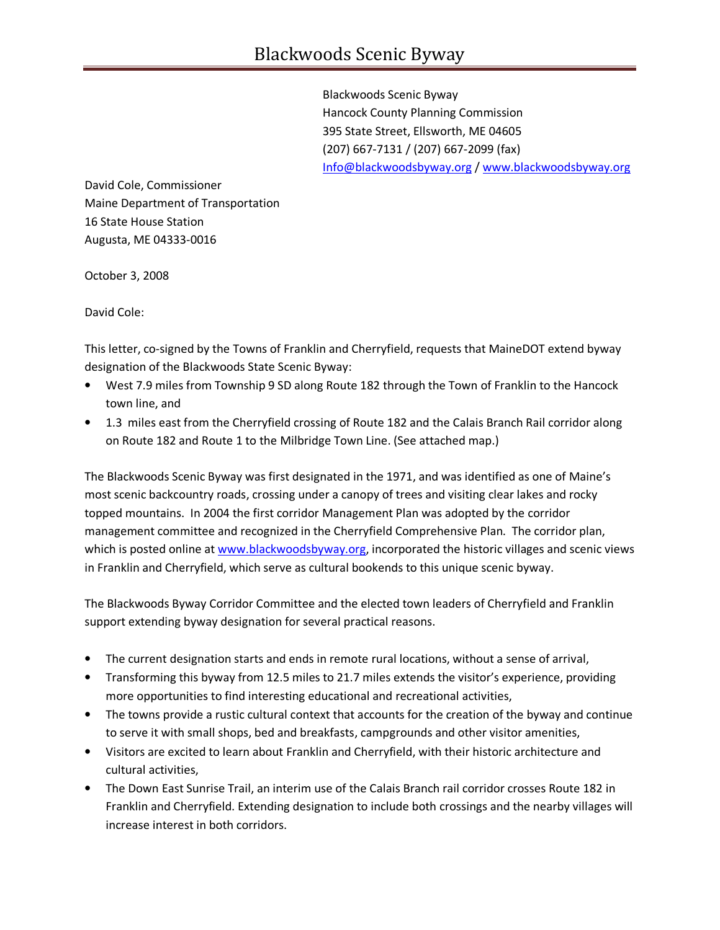Blackwoods Scenic Byway Hancock County Planning Commission 395 State Street, Ellsworth, ME 04605 (207) 667-7131 / (207) 667-2099 (fax) Info@blackwoodsbyway.org / www.blackwoodsbyway.org

David Cole, Commissioner Maine Department of Transportation 16 State House Station Augusta, ME 04333-0016

October 3, 2008

David Cole:

This letter, co-signed by the Towns of Franklin and Cherryfield, requests that MaineDOT extend byway designation of the Blackwoods State Scenic Byway:

- West 7.9 miles from Township 9 SD along Route 182 through the Town of Franklin to the Hancock town line, and
- 1.3 miles east from the Cherryfield crossing of Route 182 and the Calais Branch Rail corridor along on Route 182 and Route 1 to the Milbridge Town Line. (See attached map.)

The Blackwoods Scenic Byway was first designated in the 1971, and was identified as one of Maine's most scenic backcountry roads, crossing under a canopy of trees and visiting clear lakes and rocky topped mountains. In 2004 the first corridor Management Plan was adopted by the corridor management committee and recognized in the Cherryfield Comprehensive Plan. The corridor plan, which is posted online at www.blackwoodsbyway.org, incorporated the historic villages and scenic views in Franklin and Cherryfield, which serve as cultural bookends to this unique scenic byway.

The Blackwoods Byway Corridor Committee and the elected town leaders of Cherryfield and Franklin support extending byway designation for several practical reasons.

- The current designation starts and ends in remote rural locations, without a sense of arrival,
- Transforming this byway from 12.5 miles to 21.7 miles extends the visitor's experience, providing more opportunities to find interesting educational and recreational activities,
- The towns provide a rustic cultural context that accounts for the creation of the byway and continue to serve it with small shops, bed and breakfasts, campgrounds and other visitor amenities,
- Visitors are excited to learn about Franklin and Cherryfield, with their historic architecture and cultural activities,
- The Down East Sunrise Trail, an interim use of the Calais Branch rail corridor crosses Route 182 in Franklin and Cherryfield. Extending designation to include both crossings and the nearby villages will increase interest in both corridors.